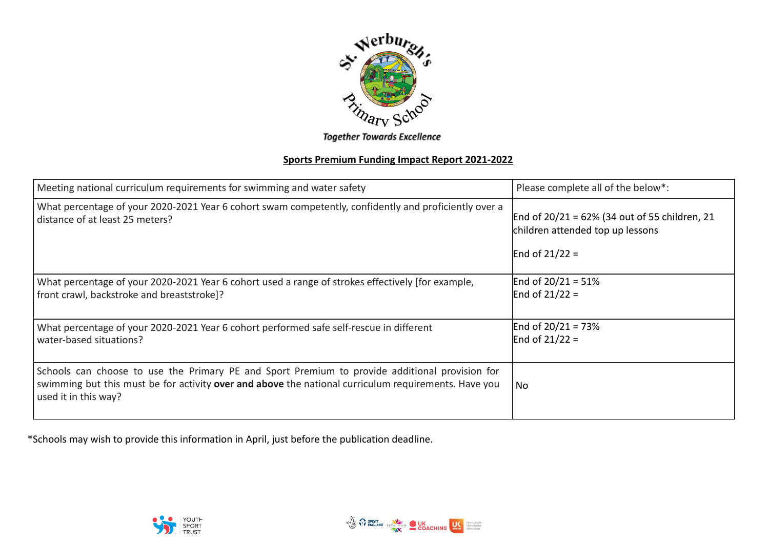

**Together Towards Excellence** 

## **Sports Premium Funding Impact Report 2021-2022**

| Meeting national curriculum requirements for swimming and water safety                                                                                                                                                         | Please complete all of the below*:                                                                       |
|--------------------------------------------------------------------------------------------------------------------------------------------------------------------------------------------------------------------------------|----------------------------------------------------------------------------------------------------------|
| What percentage of your 2020-2021 Year 6 cohort swam competently, confidently and proficiently over a<br>distance of at least 25 meters?                                                                                       | End of $20/21 = 62\%$ (34 out of 55 children, 21<br>children attended top up lessons<br>End of $21/22 =$ |
| What percentage of your 2020-2021 Year 6 cohort used a range of strokes effectively [for example,<br>front crawl, backstroke and breaststroke]?                                                                                | End of $20/21 = 51%$<br>End of $21/22 =$                                                                 |
| What percentage of your 2020-2021 Year 6 cohort performed safe self-rescue in different<br>water-based situations?                                                                                                             | End of $20/21 = 73%$<br>End of $21/22 =$                                                                 |
| Schools can choose to use the Primary PE and Sport Premium to provide additional provision for<br>swimming but this must be for activity over and above the national curriculum requirements. Have you<br>used it in this way? | l No                                                                                                     |

\*Schools may wish to provide this information in April, just before the publication deadline.



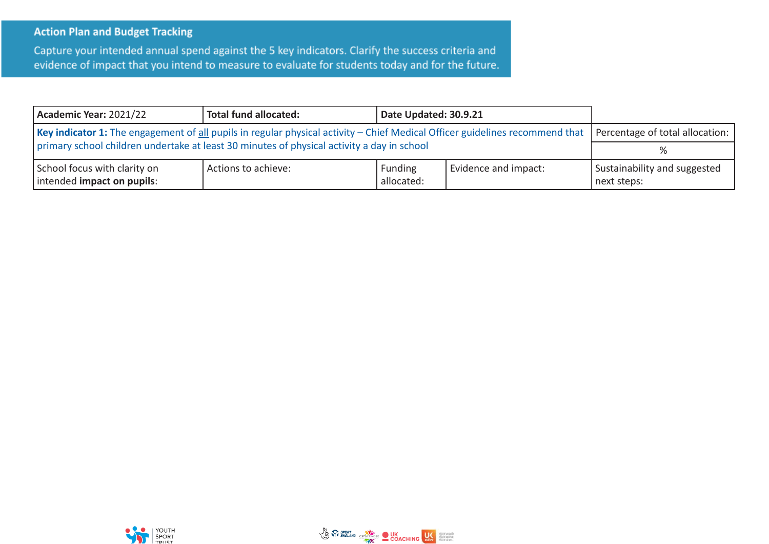## **Action Plan and Budget Tracking**

Capture your intended annual spend against the 5 key indicators. Clarify the success criteria and evidence of impact that you intend to measure to evaluate for students today and for the future.

| Academic Year: 2021/22                                                                                                                                         | Total fund allocated: | Date Updated: 30.9.21        |                      |                                             |
|----------------------------------------------------------------------------------------------------------------------------------------------------------------|-----------------------|------------------------------|----------------------|---------------------------------------------|
| Key indicator 1: The engagement of all pupils in regular physical activity - Chief Medical Officer guidelines recommend that   Percentage of total allocation: |                       |                              |                      |                                             |
| primary school children undertake at least 30 minutes of physical activity a day in school                                                                     |                       |                              |                      |                                             |
| School focus with clarity on<br>intended impact on pupils:                                                                                                     | Actions to achieve:   | <b>Funding</b><br>allocated: | Evidence and impact: | Sustainability and suggested<br>next steps: |



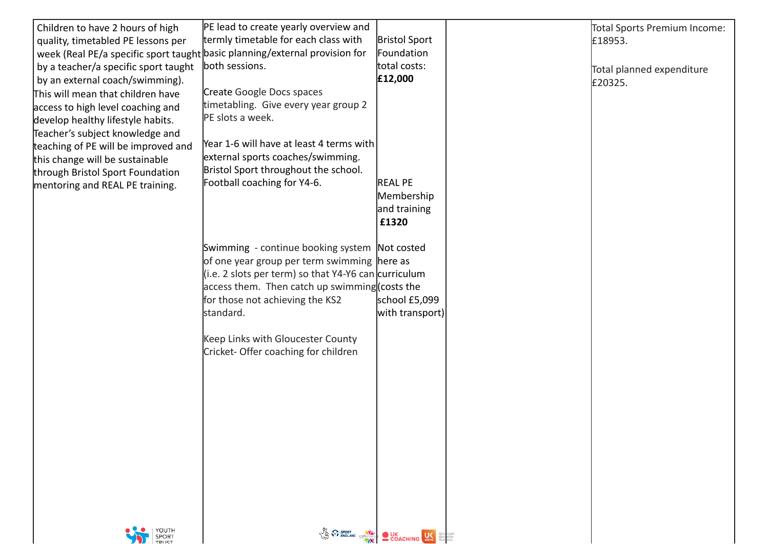| Children to have 2 hours of high     | PE lead to create yearly overview and                                       |                                        | Total Sports Premium Income: |
|--------------------------------------|-----------------------------------------------------------------------------|----------------------------------------|------------------------------|
| quality, timetabled PE lessons per   | termly timetable for each class with                                        | <b>Bristol Sport</b>                   | £18953.                      |
|                                      | week (Real PE/a specific sport taught basic planning/external provision for | Foundation                             |                              |
| by a teacher/a specific sport taught | both sessions.                                                              | total costs:                           | Total planned expenditure    |
| by an external coach/swimming).      |                                                                             | £12,000                                | £20325.                      |
| This will mean that children have    | Create Google Docs spaces                                                   |                                        |                              |
| access to high level coaching and    | timetabling. Give every year group 2                                        |                                        |                              |
| develop healthy lifestyle habits.    | PE slots a week.                                                            |                                        |                              |
| Teacher's subject knowledge and      |                                                                             |                                        |                              |
| teaching of PE will be improved and  | Year 1-6 will have at least 4 terms with                                    |                                        |                              |
| this change will be sustainable      | external sports coaches/swimming.                                           |                                        |                              |
| through Bristol Sport Foundation     | Bristol Sport throughout the school.                                        |                                        |                              |
| mentoring and REAL PE training.      | Football coaching for Y4-6.                                                 | <b>REAL PE</b>                         |                              |
|                                      |                                                                             | Membership                             |                              |
|                                      |                                                                             | and training                           |                              |
|                                      |                                                                             | £1320                                  |                              |
|                                      |                                                                             |                                        |                              |
|                                      | Swimming - continue booking system Not costed                               |                                        |                              |
|                                      | of one year group per term swimming here as                                 |                                        |                              |
|                                      | (i.e. 2 slots per term) so that $Y4-Y6$ can curriculum                      |                                        |                              |
|                                      | access them. Then catch up swimming (costs the                              |                                        |                              |
|                                      | for those not achieving the KS2                                             | school £5,099                          |                              |
|                                      | standard.                                                                   | with transport)                        |                              |
|                                      |                                                                             |                                        |                              |
|                                      | Keep Links with Gloucester County<br>Cricket-Offer coaching for children    |                                        |                              |
|                                      |                                                                             |                                        |                              |
|                                      |                                                                             |                                        |                              |
|                                      |                                                                             |                                        |                              |
|                                      |                                                                             |                                        |                              |
|                                      |                                                                             |                                        |                              |
|                                      |                                                                             |                                        |                              |
|                                      |                                                                             |                                        |                              |
|                                      |                                                                             |                                        |                              |
|                                      |                                                                             |                                        |                              |
|                                      |                                                                             |                                        |                              |
|                                      |                                                                             |                                        |                              |
|                                      |                                                                             |                                        |                              |
| YOUTH<br>SPORT<br>TRUST              |                                                                             |                                        |                              |
|                                      |                                                                             | Von C SPORT COLOR COACHING US SANDWICH |                              |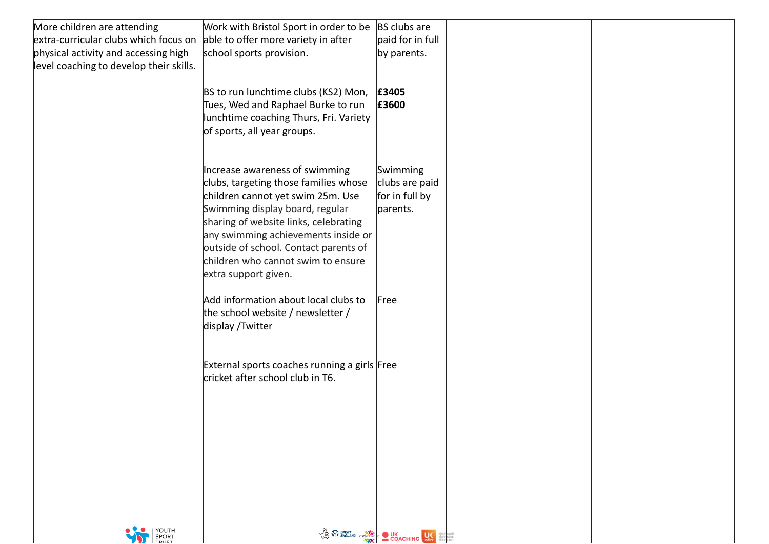| More children are attending             | Work with Bristol Sport in order to be       | BS clubs are                                                           |  |
|-----------------------------------------|----------------------------------------------|------------------------------------------------------------------------|--|
| extra-curricular clubs which focus on   | able to offer more variety in after          | paid for in full                                                       |  |
| physical activity and accessing high    | school sports provision.                     | by parents.                                                            |  |
| level coaching to develop their skills. |                                              |                                                                        |  |
|                                         |                                              |                                                                        |  |
|                                         | BS to run lunchtime clubs (KS2) Mon,         | £3405                                                                  |  |
|                                         | Tues, Wed and Raphael Burke to run           | £3600                                                                  |  |
|                                         | unchtime coaching Thurs, Fri. Variety        |                                                                        |  |
|                                         | of sports, all year groups.                  |                                                                        |  |
|                                         |                                              |                                                                        |  |
|                                         | Increase awareness of swimming               | Swimming                                                               |  |
|                                         | clubs, targeting those families whose        | clubs are paid                                                         |  |
|                                         | children cannot yet swim 25m. Use            | for in full by                                                         |  |
|                                         | Swimming display board, regular              | parents.                                                               |  |
|                                         | sharing of website links, celebrating        |                                                                        |  |
|                                         | any swimming achievements inside or          |                                                                        |  |
|                                         | outside of school. Contact parents of        |                                                                        |  |
|                                         | children who cannot swim to ensure           |                                                                        |  |
|                                         | extra support given.                         |                                                                        |  |
|                                         | Add information about local clubs to         | Free                                                                   |  |
|                                         | the school website / newsletter /            |                                                                        |  |
|                                         | display / Twitter                            |                                                                        |  |
|                                         |                                              |                                                                        |  |
|                                         |                                              |                                                                        |  |
|                                         | External sports coaches running a girls Free |                                                                        |  |
|                                         | cricket after school club in T6.             |                                                                        |  |
|                                         |                                              |                                                                        |  |
|                                         |                                              |                                                                        |  |
|                                         |                                              |                                                                        |  |
|                                         |                                              |                                                                        |  |
|                                         |                                              |                                                                        |  |
|                                         |                                              |                                                                        |  |
|                                         |                                              |                                                                        |  |
|                                         |                                              |                                                                        |  |
|                                         |                                              |                                                                        |  |
| YOUTH<br>SPORT<br>TRUST                 |                                              | Von Contra Contraction CONCHING US Based on the CONCHING CARD CONCHING |  |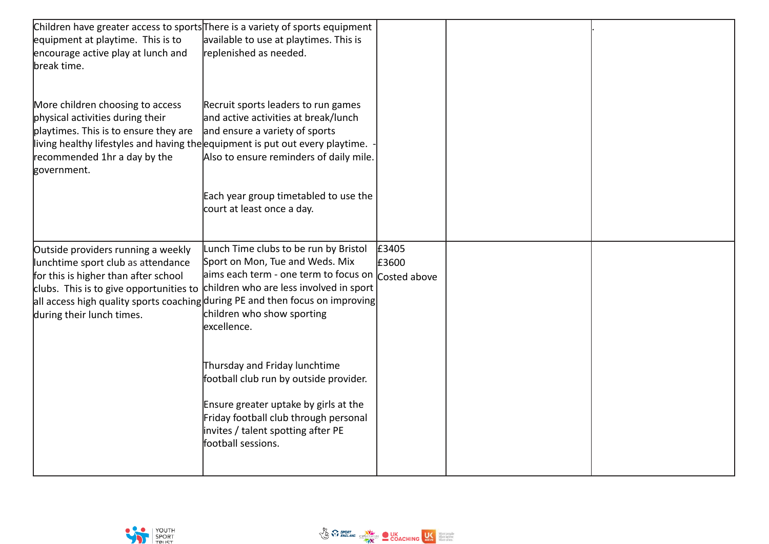| equipment at playtime. This is to<br>encourage active play at lunch and<br>break time.                                                                                                                                                        | Children have greater access to sports There is a variety of sports equipment<br>available to use at playtimes. This is<br>replenished as needed.                                                                                                                                                                                  |                                |  |
|-----------------------------------------------------------------------------------------------------------------------------------------------------------------------------------------------------------------------------------------------|------------------------------------------------------------------------------------------------------------------------------------------------------------------------------------------------------------------------------------------------------------------------------------------------------------------------------------|--------------------------------|--|
| More children choosing to access<br>physical activities during their<br>playtimes. This is to ensure they are<br>living healthy lifestyles and having the equipment is put out every playtime.<br>recommended 1hr a day by the<br>government. | Recruit sports leaders to run games<br>and active activities at break/lunch<br>and ensure a variety of sports<br>Also to ensure reminders of daily mile.                                                                                                                                                                           |                                |  |
|                                                                                                                                                                                                                                               | Each year group timetabled to use the<br>court at least once a day.                                                                                                                                                                                                                                                                |                                |  |
| Outside providers running a weekly<br>lunchtime sport club as attendance<br>for this is higher than after school<br>during their lunch times.                                                                                                 | Lunch Time clubs to be run by Bristol<br>Sport on Mon, Tue and Weds. Mix<br>aims each term - one term to focus on<br>clubs. This is to give opportunities to children who are less involved in sport<br>all access high quality sports coaching during PE and then focus on improving<br>children who show sporting<br>excellence. | £3405<br>£3600<br>Costed above |  |
|                                                                                                                                                                                                                                               | Thursday and Friday lunchtime<br>football club run by outside provider.<br>Ensure greater uptake by girls at the<br>Friday football club through personal<br>invites / talent spotting after PE<br>football sessions.                                                                                                              |                                |  |

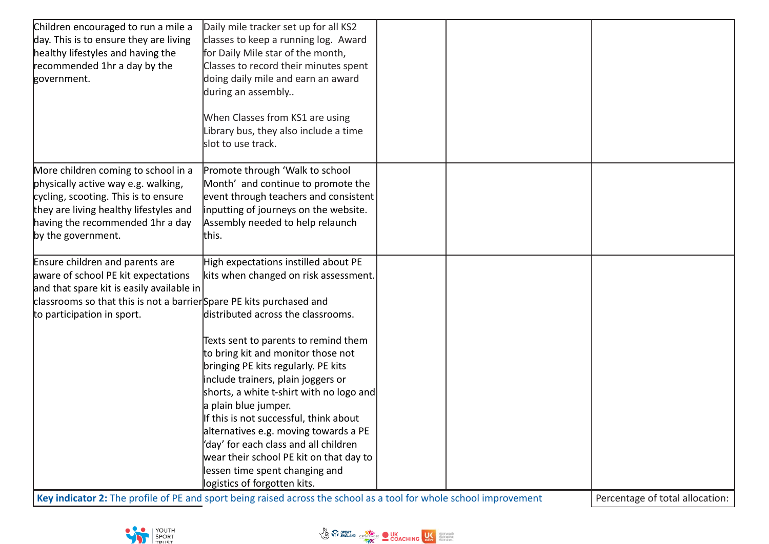| Children encouraged to run a mile a                                  | Daily mile tracker set up for all KS2    |  |  |
|----------------------------------------------------------------------|------------------------------------------|--|--|
| day. This is to ensure they are living                               | classes to keep a running log. Award     |  |  |
| healthy lifestyles and having the                                    | for Daily Mile star of the month,        |  |  |
| recommended 1hr a day by the                                         | Classes to record their minutes spent    |  |  |
| government.                                                          | doing daily mile and earn an award       |  |  |
|                                                                      | during an assembly                       |  |  |
|                                                                      |                                          |  |  |
|                                                                      | When Classes from KS1 are using          |  |  |
|                                                                      | Library bus, they also include a time    |  |  |
|                                                                      | slot to use track.                       |  |  |
|                                                                      |                                          |  |  |
| More children coming to school in a                                  | Promote through 'Walk to school          |  |  |
| physically active way e.g. walking,                                  | Month' and continue to promote the       |  |  |
| cycling, scooting. This is to ensure                                 | event through teachers and consistent    |  |  |
| they are living healthy lifestyles and                               | inputting of journeys on the website.    |  |  |
| having the recommended 1hr a day                                     | Assembly needed to help relaunch         |  |  |
| by the government.                                                   | this.                                    |  |  |
| Ensure children and parents are                                      | High expectations instilled about PE     |  |  |
| aware of school PE kit expectations                                  | kits when changed on risk assessment.    |  |  |
| and that spare kit is easily available in                            |                                          |  |  |
| classrooms so that this is not a barrier Spare PE kits purchased and |                                          |  |  |
| to participation in sport.                                           | distributed across the classrooms.       |  |  |
|                                                                      |                                          |  |  |
|                                                                      | Texts sent to parents to remind them     |  |  |
|                                                                      | to bring kit and monitor those not       |  |  |
|                                                                      | bringing PE kits regularly. PE kits      |  |  |
|                                                                      | include trainers, plain joggers or       |  |  |
|                                                                      | shorts, a white t-shirt with no logo and |  |  |
|                                                                      | a plain blue jumper.                     |  |  |
|                                                                      | If this is not successful, think about   |  |  |
|                                                                      | alternatives e.g. moving towards a PE    |  |  |
|                                                                      | 'day' for each class and all children    |  |  |
|                                                                      | wear their school PE kit on that day to  |  |  |
|                                                                      | lessen time spent changing and           |  |  |
|                                                                      | logistics of forgotten kits.             |  |  |

Key indicator 2: The profile of PE and sport being raised across the school as a tool for whole school improvement Percentage of total allocation:



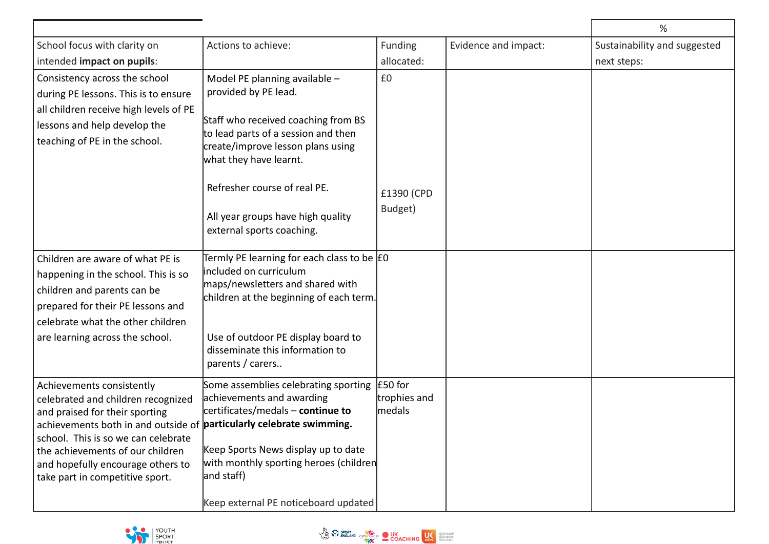|                                                                                                                                                                                                                                                                                                                              |                                                                                                                                                                                                                                                                                                      |                                   |                      | %                            |
|------------------------------------------------------------------------------------------------------------------------------------------------------------------------------------------------------------------------------------------------------------------------------------------------------------------------------|------------------------------------------------------------------------------------------------------------------------------------------------------------------------------------------------------------------------------------------------------------------------------------------------------|-----------------------------------|----------------------|------------------------------|
| School focus with clarity on                                                                                                                                                                                                                                                                                                 | Actions to achieve:                                                                                                                                                                                                                                                                                  | Funding                           | Evidence and impact: | Sustainability and suggested |
| intended impact on pupils:                                                                                                                                                                                                                                                                                                   |                                                                                                                                                                                                                                                                                                      | allocated:                        |                      | next steps:                  |
| Consistency across the school<br>during PE lessons. This is to ensure<br>all children receive high levels of PE<br>lessons and help develop the<br>teaching of PE in the school.                                                                                                                                             | Model PE planning available -<br>provided by PE lead.<br>Staff who received coaching from BS<br>to lead parts of a session and then<br>create/improve lesson plans using<br>what they have learnt.<br>Refresher course of real PE.<br>All year groups have high quality<br>external sports coaching. | £0<br>£1390 (CPD<br>Budget)       |                      |                              |
| Children are aware of what PE is<br>happening in the school. This is so<br>children and parents can be<br>prepared for their PE lessons and<br>celebrate what the other children<br>are learning across the school.                                                                                                          | Termly PE learning for each class to be EO<br>included on curriculum<br>maps/newsletters and shared with<br>children at the beginning of each term.<br>Use of outdoor PE display board to<br>disseminate this information to<br>parents / carers                                                     |                                   |                      |                              |
| Achievements consistently<br>celebrated and children recognized<br>and praised for their sporting<br>achievements both in and outside of particularly celebrate swimming.<br>school. This is so we can celebrate<br>the achievements of our children<br>and hopefully encourage others to<br>take part in competitive sport. | Some assemblies celebrating sporting<br>achievements and awarding<br>certificates/medals - continue to<br>Keep Sports News display up to date<br>with monthly sporting heroes (children<br>and staff)<br>Keep external PE noticeboard updated                                                        | £50 for<br>trophies and<br>medals |                      |                              |



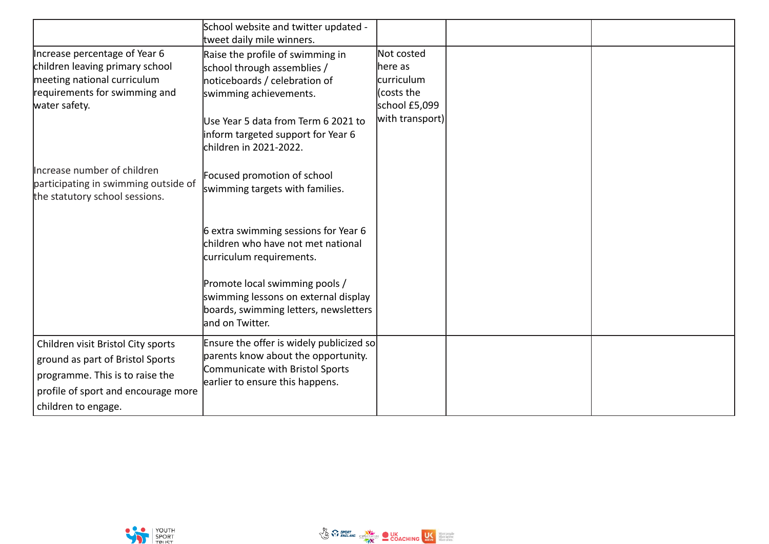|                                                                                                                                                                         | School website and twitter updated -<br>tweet daily mile winners.                                                                                                                                                                 |                                                                                       |  |
|-------------------------------------------------------------------------------------------------------------------------------------------------------------------------|-----------------------------------------------------------------------------------------------------------------------------------------------------------------------------------------------------------------------------------|---------------------------------------------------------------------------------------|--|
| Increase percentage of Year 6<br>children leaving primary school<br>meeting national curriculum<br>requirements for swimming and<br>water safety.                       | Raise the profile of swimming in<br>school through assemblies /<br>noticeboards / celebration of<br>swimming achievements.<br>Use Year 5 data from Term 6 2021 to<br>inform targeted support for Year 6<br>children in 2021-2022. | Not costed<br>here as<br>curriculum<br>(costs the<br>school £5,099<br>with transport) |  |
| Increase number of children<br>participating in swimming outside of<br>the statutory school sessions.                                                                   | Focused promotion of school<br>swimming targets with families.                                                                                                                                                                    |                                                                                       |  |
|                                                                                                                                                                         | 6 extra swimming sessions for Year 6<br>children who have not met national<br>curriculum requirements.                                                                                                                            |                                                                                       |  |
|                                                                                                                                                                         | Promote local swimming pools /<br>swimming lessons on external display<br>boards, swimming letters, newsletters<br>and on Twitter.                                                                                                |                                                                                       |  |
| Children visit Bristol City sports<br>ground as part of Bristol Sports<br>programme. This is to raise the<br>profile of sport and encourage more<br>children to engage. | Ensure the offer is widely publicized so<br>parents know about the opportunity.<br>Communicate with Bristol Sports<br>earlier to ensure this happens.                                                                             |                                                                                       |  |

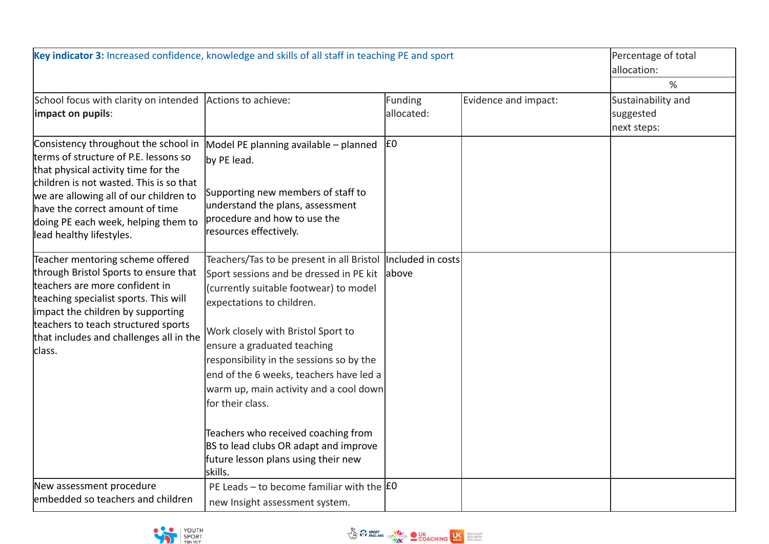| Key indicator 3: Increased confidence, knowledge and skills of all staff in teaching PE and sport                                                                                                                                                                                                               |                                                                                                                                                                                                                                                                                                                                                                                                                                                                                                                                              |                       |                      | Percentage of total<br>allocation:                  |
|-----------------------------------------------------------------------------------------------------------------------------------------------------------------------------------------------------------------------------------------------------------------------------------------------------------------|----------------------------------------------------------------------------------------------------------------------------------------------------------------------------------------------------------------------------------------------------------------------------------------------------------------------------------------------------------------------------------------------------------------------------------------------------------------------------------------------------------------------------------------------|-----------------------|----------------------|-----------------------------------------------------|
| School focus with clarity on intended<br>impact on pupils:                                                                                                                                                                                                                                                      | Actions to achieve:                                                                                                                                                                                                                                                                                                                                                                                                                                                                                                                          | Funding<br>allocated: | Evidence and impact: | %<br>Sustainability and<br>suggested<br>next steps: |
| Consistency throughout the school in<br>terms of structure of P.E. lessons so<br>that physical activity time for the<br>children is not wasted. This is so that<br>we are allowing all of our children to<br>have the correct amount of time<br>doing PE each week, helping them to<br>lead healthy lifestyles. | Model PE planning available - planned<br>by PE lead.<br>Supporting new members of staff to<br>understand the plans, assessment<br>procedure and how to use the<br>resources effectively.                                                                                                                                                                                                                                                                                                                                                     | E <sub>0</sub>        |                      |                                                     |
| Teacher mentoring scheme offered<br>through Bristol Sports to ensure that<br>teachers are more confident in<br>teaching specialist sports. This will<br>impact the children by supporting<br>teachers to teach structured sports<br>that includes and challenges all in the<br>class.                           | Teachers/Tas to be present in all Bristol  Included in costs <br>Sport sessions and be dressed in PE kit<br>(currently suitable footwear) to model<br>expectations to children.<br>Work closely with Bristol Sport to<br>ensure a graduated teaching<br>responsibility in the sessions so by the<br>end of the 6 weeks, teachers have led a<br>warm up, main activity and a cool down<br>for their class.<br>Teachers who received coaching from<br>BS to lead clubs OR adapt and improve<br>future lesson plans using their new<br>lskills. | above                 |                      |                                                     |
| New assessment procedure<br>embedded so teachers and children                                                                                                                                                                                                                                                   | PE Leads – to become familiar with the $ f0\rangle$<br>new Insight assessment system.                                                                                                                                                                                                                                                                                                                                                                                                                                                        |                       |                      |                                                     |



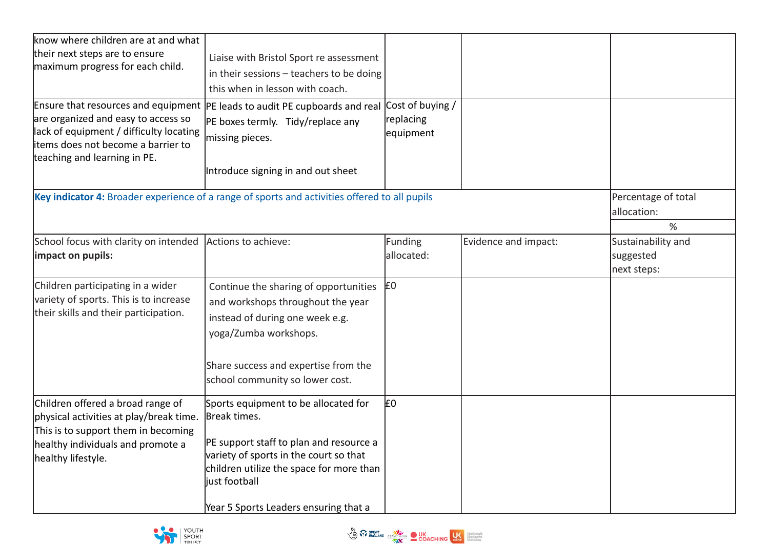| know where children are at and what                                             |                                                                                                      |                |                      |                     |
|---------------------------------------------------------------------------------|------------------------------------------------------------------------------------------------------|----------------|----------------------|---------------------|
| their next steps are to ensure<br>maximum progress for each child.              | Liaise with Bristol Sport re assessment                                                              |                |                      |                     |
|                                                                                 | in their sessions $-$ teachers to be doing                                                           |                |                      |                     |
|                                                                                 | this when in lesson with coach.                                                                      |                |                      |                     |
|                                                                                 | Ensure that resources and equipment $ PE $ leads to audit PE cupboards and real $ Cost $ of buying / |                |                      |                     |
| are organized and easy to access so                                             | PE boxes termly. Tidy/replace any                                                                    | replacing      |                      |                     |
| lack of equipment / difficulty locating                                         | missing pieces.                                                                                      | equipment      |                      |                     |
| litems does not become a barrier to<br>teaching and learning in PE.             |                                                                                                      |                |                      |                     |
|                                                                                 | Introduce signing in and out sheet                                                                   |                |                      |                     |
|                                                                                 |                                                                                                      |                |                      |                     |
|                                                                                 | Key indicator 4: Broader experience of a range of sports and activities offered to all pupils        |                |                      | Percentage of total |
|                                                                                 |                                                                                                      |                |                      | allocation:         |
|                                                                                 |                                                                                                      |                |                      | $\%$                |
| School focus with clarity on intended                                           | Actions to achieve:                                                                                  | Funding        | Evidence and impact: | Sustainability and  |
| impact on pupils:                                                               |                                                                                                      | allocated:     |                      | suggested           |
|                                                                                 |                                                                                                      |                |                      | next steps:         |
| Children participating in a wider                                               | Continue the sharing of opportunities                                                                | £0             |                      |                     |
| variety of sports. This is to increase<br>their skills and their participation. | and workshops throughout the year                                                                    |                |                      |                     |
|                                                                                 | instead of during one week e.g.                                                                      |                |                      |                     |
|                                                                                 | yoga/Zumba workshops.                                                                                |                |                      |                     |
|                                                                                 |                                                                                                      |                |                      |                     |
|                                                                                 | Share success and expertise from the                                                                 |                |                      |                     |
|                                                                                 | school community so lower cost.                                                                      |                |                      |                     |
| Children offered a broad range of                                               | Sports equipment to be allocated for                                                                 | E <sub>0</sub> |                      |                     |
| physical activities at play/break time.                                         | Break times.                                                                                         |                |                      |                     |
| This is to support them in becoming                                             |                                                                                                      |                |                      |                     |
| healthy individuals and promote a                                               | PE support staff to plan and resource a                                                              |                |                      |                     |
| healthy lifestyle.                                                              | variety of sports in the court so that                                                               |                |                      |                     |
|                                                                                 | children utilize the space for more than<br>just football                                            |                |                      |                     |
|                                                                                 |                                                                                                      |                |                      |                     |
|                                                                                 | Year 5 Sports Leaders ensuring that a                                                                |                |                      |                     |



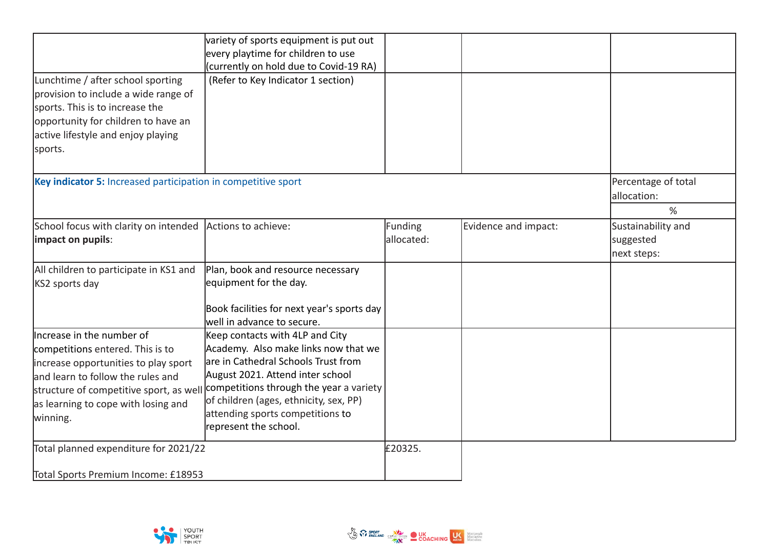|                                                               | variety of sports equipment is put out<br>every playtime for children to use |            |                      |                     |
|---------------------------------------------------------------|------------------------------------------------------------------------------|------------|----------------------|---------------------|
|                                                               | (currently on hold due to Covid-19 RA)                                       |            |                      |                     |
| Lunchtime / after school sporting                             | (Refer to Key Indicator 1 section)                                           |            |                      |                     |
| provision to include a wide range of                          |                                                                              |            |                      |                     |
| sports. This is to increase the                               |                                                                              |            |                      |                     |
| opportunity for children to have an                           |                                                                              |            |                      |                     |
| active lifestyle and enjoy playing                            |                                                                              |            |                      |                     |
| sports.                                                       |                                                                              |            |                      |                     |
| Key indicator 5: Increased participation in competitive sport |                                                                              |            |                      | Percentage of total |
|                                                               |                                                                              |            |                      | allocation:         |
|                                                               |                                                                              |            |                      | %                   |
| School focus with clarity on intended                         | Actions to achieve:                                                          | Funding    | Evidence and impact: | Sustainability and  |
| impact on pupils:                                             |                                                                              | allocated: |                      | suggested           |
|                                                               |                                                                              |            |                      | next steps:         |
| All children to participate in KS1 and                        | Plan, book and resource necessary                                            |            |                      |                     |
| KS2 sports day                                                | equipment for the day.                                                       |            |                      |                     |
|                                                               | Book facilities for next year's sports day                                   |            |                      |                     |
|                                                               | well in advance to secure.                                                   |            |                      |                     |
| Increase in the number of                                     | Keep contacts with 4LP and City                                              |            |                      |                     |
| competitions entered. This is to                              | Academy. Also make links now that we                                         |            |                      |                     |
| increase opportunities to play sport                          | are in Cathedral Schools Trust from                                          |            |                      |                     |
| land learn to follow the rules and                            | August 2021. Attend inter school<br>competitions through the year a variety  |            |                      |                     |
| structure of competitive sport, as well                       | of children (ages, ethnicity, sex, PP)                                       |            |                      |                     |
| as learning to cope with losing and                           | attending sports competitions to                                             |            |                      |                     |
| winning.                                                      | represent the school.                                                        |            |                      |                     |
| Total planned expenditure for 2021/22                         |                                                                              | £20325.    |                      |                     |
| Total Sports Premium Income: £18953                           |                                                                              |            |                      |                     |